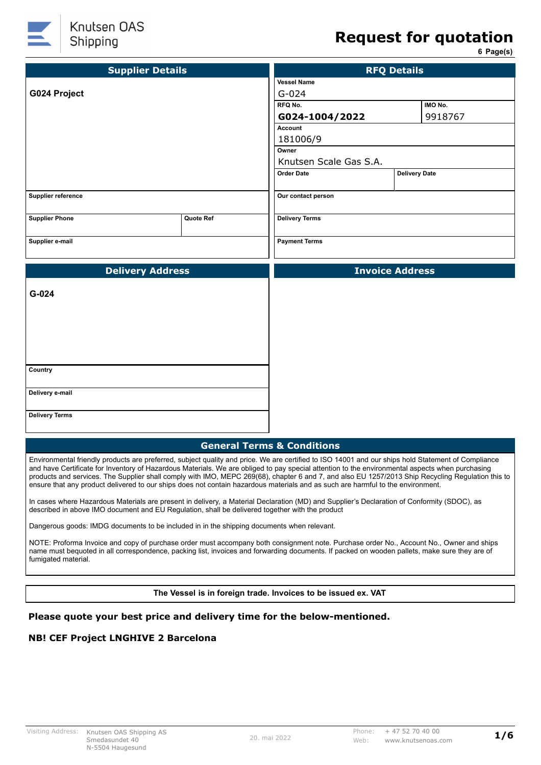

# **Request for quotation**

**6 Page(s)**

| <b>Supplier Details</b> |           | <b>RFQ Details</b>     |                        |  |  |
|-------------------------|-----------|------------------------|------------------------|--|--|
|                         |           | <b>Vessel Name</b>     |                        |  |  |
| G024 Project            |           | $G - 024$              |                        |  |  |
|                         |           | RFQ No.                | IMO No.                |  |  |
|                         |           | G024-1004/2022         | 9918767                |  |  |
|                         |           | <b>Account</b>         |                        |  |  |
|                         |           | 181006/9               |                        |  |  |
|                         |           | Owner                  |                        |  |  |
|                         |           | Knutsen Scale Gas S.A. |                        |  |  |
|                         |           | <b>Order Date</b>      | <b>Delivery Date</b>   |  |  |
|                         |           |                        |                        |  |  |
| Supplier reference      |           | Our contact person     |                        |  |  |
| <b>Supplier Phone</b>   | Quote Ref | <b>Delivery Terms</b>  |                        |  |  |
| Supplier e-mail         |           | <b>Payment Terms</b>   |                        |  |  |
|                         |           |                        |                        |  |  |
| <b>Delivery Address</b> |           |                        | <b>Invoice Address</b> |  |  |
| G-024                   |           |                        |                        |  |  |
|                         |           |                        |                        |  |  |
| Country                 |           |                        |                        |  |  |
| Delivery e-mail         |           |                        |                        |  |  |
| <b>Delivery Terms</b>   |           |                        |                        |  |  |

Environmental friendly products are preferred, subject quality and price. We are certified to ISO 14001 and our ships hold Statement of Compliance and have Certificate for Inventory of Hazardous Materials. We are obliged to pay special attention to the environmental aspects when purchasing products and services. The Supplier shall comply with IMO, MEPC 269(68), chapter 6 and 7, and also EU 1257/2013 Ship Recycling Regulation this to ensure that any product delivered to our ships does not contain hazardous materials and as such are harmful to the environment.

In cases where Hazardous Materials are present in delivery, a Material Declaration (MD) and Supplier's Declaration of Conformity (SDOC), as described in above IMO document and EU Regulation, shall be delivered together with the product

Dangerous goods: IMDG documents to be included in in the shipping documents when relevant.

NOTE: Proforma Invoice and copy of purchase order must accompany both consignment note. Purchase order No., Account No., Owner and ships name must bequoted in all correspondence, packing list, invoices and forwarding documents. If packed on wooden pallets, make sure they are of fumigated material.

**The Vessel is in foreign trade. Invoices to be issued ex. VAT**

### **Please quote your best price and delivery time for the below-mentioned.**

### **NB! CEF Project LNGHIVE 2 Barcelona**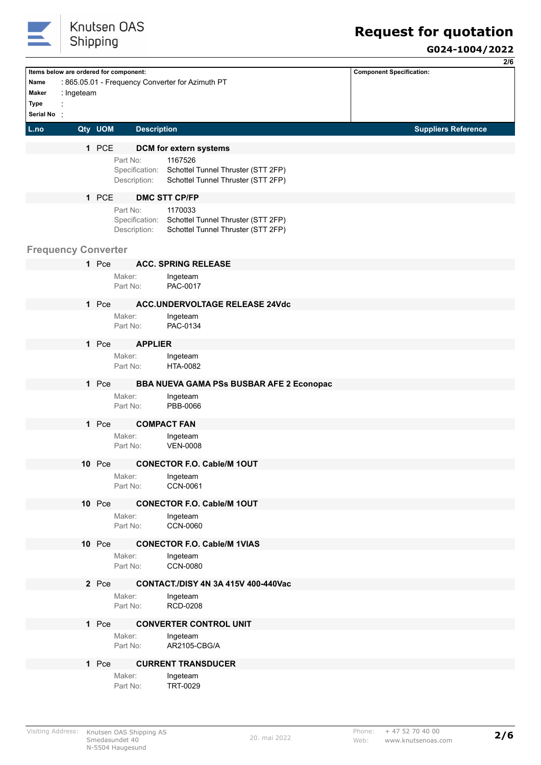

### **G024-1004/2022**

**2/6**

|                                            |                            |               |                                            |                                                                                     |                                 | 40 |
|--------------------------------------------|----------------------------|---------------|--------------------------------------------|-------------------------------------------------------------------------------------|---------------------------------|----|
| Name<br>Maker<br><b>Type</b><br>Serial No: | : Ingeteam                 |               | Items below are ordered for component:     | : 865.05.01 - Frequency Converter for Azimuth PT                                    | <b>Component Specification:</b> |    |
| L.no                                       |                            | Qty UOM       | <b>Description</b>                         |                                                                                     | <b>Suppliers Reference</b>      |    |
|                                            |                            | 1 PCE         |                                            | <b>DCM</b> for extern systems                                                       |                                 |    |
|                                            |                            |               | Part No:<br>Specification:<br>Description: | 1167526<br>Schottel Tunnel Thruster (STT 2FP)<br>Schottel Tunnel Thruster (STT 2FP) |                                 |    |
|                                            |                            | 1 PCE         |                                            | <b>DMC STT CP/FP</b>                                                                |                                 |    |
|                                            |                            |               | Part No:<br>Specification:<br>Description: | 1170033<br>Schottel Tunnel Thruster (STT 2FP)<br>Schottel Tunnel Thruster (STT 2FP) |                                 |    |
|                                            | <b>Frequency Converter</b> |               |                                            |                                                                                     |                                 |    |
|                                            |                            | 1 Pce         |                                            | <b>ACC. SPRING RELEASE</b>                                                          |                                 |    |
|                                            |                            |               | Maker:<br>Part No:                         | Ingeteam<br>PAC-0017                                                                |                                 |    |
|                                            |                            | 1 Pce         |                                            | <b>ACC.UNDERVOLTAGE RELEASE 24Vdc</b>                                               |                                 |    |
|                                            |                            |               | Maker:<br>Part No:                         | Ingeteam<br>PAC-0134                                                                |                                 |    |
|                                            |                            | 1 Pce         | <b>APPLIER</b>                             |                                                                                     |                                 |    |
|                                            |                            |               | Maker:<br>Part No:                         | Ingeteam<br>HTA-0082                                                                |                                 |    |
|                                            |                            | 1 Pce         |                                            | <b>BBA NUEVA GAMA PSs BUSBAR AFE 2 Econopac</b>                                     |                                 |    |
|                                            |                            |               | Maker:<br>Part No:                         | Ingeteam<br>PBB-0066                                                                |                                 |    |
|                                            |                            | 1 Pce         |                                            | <b>COMPACT FAN</b>                                                                  |                                 |    |
|                                            |                            |               | Maker:<br>Part No:                         | Ingeteam<br><b>VEN-0008</b>                                                         |                                 |    |
|                                            |                            | <b>10 Pce</b> |                                            | <b>CONECTOR F.O. Cable/M 1OUT</b>                                                   |                                 |    |
|                                            |                            |               | Maker:<br>Part No:                         | Ingeteam<br>CCN-0061                                                                |                                 |    |
|                                            |                            | <b>10 Pce</b> |                                            | <b>CONECTOR F.O. Cable/M 1OUT</b>                                                   |                                 |    |
|                                            |                            |               | Maker:<br>Part No:                         | Ingeteam<br><b>CCN-0060</b>                                                         |                                 |    |
|                                            |                            | <b>10 Pce</b> |                                            | <b>CONECTOR F.O. Cable/M 1VIAS</b>                                                  |                                 |    |
|                                            |                            |               | Maker:<br>Part No:                         | Ingeteam<br><b>CCN-0080</b>                                                         |                                 |    |
|                                            |                            | 2 Pce         |                                            | CONTACT./DISY 4N 3A 415V 400-440Vac                                                 |                                 |    |
|                                            |                            |               | Maker:<br>Part No:                         | Ingeteam<br>RCD-0208                                                                |                                 |    |
|                                            |                            | 1 Pce         |                                            | <b>CONVERTER CONTROL UNIT</b>                                                       |                                 |    |
|                                            |                            |               | Maker:<br>Part No:                         | Ingeteam<br>AR2105-CBG/A                                                            |                                 |    |
|                                            |                            | 1 Pce         |                                            | <b>CURRENT TRANSDUCER</b>                                                           |                                 |    |
|                                            |                            |               | Maker:<br>Part No:                         | Ingeteam<br>TRT-0029                                                                |                                 |    |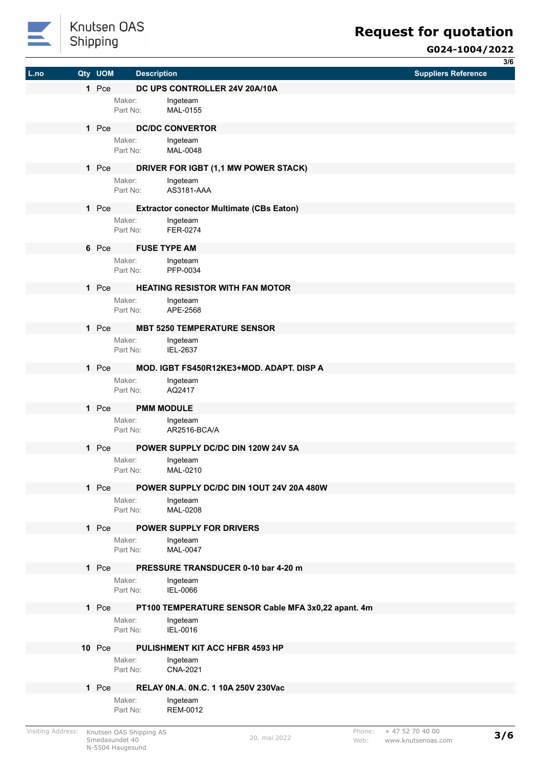

## **G024-1004/2022**

**3/6**

|      |               |                    |                                                     |                            | 91 O |
|------|---------------|--------------------|-----------------------------------------------------|----------------------------|------|
| L.no | Qty UOM       | <b>Description</b> |                                                     | <b>Suppliers Reference</b> |      |
|      | 1 Pce         |                    | DC UPS CONTROLLER 24V 20A/10A                       |                            |      |
|      |               | Maker:<br>Part No: | Ingeteam<br>MAL-0155                                |                            |      |
|      | 1 Pce         |                    | <b>DC/DC CONVERTOR</b>                              |                            |      |
|      |               | Maker:<br>Part No: | Ingeteam<br>MAL-0048                                |                            |      |
|      | 1 Pce         |                    | DRIVER FOR IGBT (1,1 MW POWER STACK)                |                            |      |
|      |               | Maker:<br>Part No: | Ingeteam<br>AS3181-AAA                              |                            |      |
|      | 1 Pce         |                    | <b>Extractor conector Multimate (CBs Eaton)</b>     |                            |      |
|      |               | Maker:<br>Part No: | Ingeteam<br>FER-0274                                |                            |      |
|      | 6 Pce         |                    | <b>FUSE TYPE AM</b>                                 |                            |      |
|      |               | Maker:<br>Part No: | Ingeteam<br>PFP-0034                                |                            |      |
|      | 1 Pce         |                    | <b>HEATING RESISTOR WITH FAN MOTOR</b>              |                            |      |
|      |               | Maker:<br>Part No: | Ingeteam<br>APE-2568                                |                            |      |
|      | 1 Pce         |                    | <b>MBT 5250 TEMPERATURE SENSOR</b>                  |                            |      |
|      |               | Maker:<br>Part No: | Ingeteam<br>IEL-2637                                |                            |      |
|      | 1 Pce         |                    | MOD. IGBT FS450R12KE3+MOD. ADAPT. DISP A            |                            |      |
|      |               | Maker:<br>Part No: | Ingeteam<br>AQ2417                                  |                            |      |
|      | 1 Pce         |                    | <b>PMM MODULE</b>                                   |                            |      |
|      |               | Maker:<br>Part No: | Ingeteam<br>AR2516-BCA/A                            |                            |      |
|      | 1 Pce         |                    | POWER SUPPLY DC/DC DIN 120W 24V 5A                  |                            |      |
|      |               | Maker:<br>Part No: | Ingeteam<br>MAL-0210                                |                            |      |
|      | 1 Pce         |                    | POWER SUPPLY DC/DC DIN 1OUT 24V 20A 480W            |                            |      |
|      |               | Maker:<br>Part No: | Ingeteam<br>MAL-0208                                |                            |      |
|      | 1 Pce         |                    | <b>POWER SUPPLY FOR DRIVERS</b>                     |                            |      |
|      |               | Maker:<br>Part No: | Ingeteam<br>MAL-0047                                |                            |      |
|      | 1 Pce         |                    | PRESSURE TRANSDUCER 0-10 bar 4-20 m                 |                            |      |
|      |               | Maker:<br>Part No: | Ingeteam<br>IEL-0066                                |                            |      |
|      | 1 Pce         |                    | PT100 TEMPERATURE SENSOR Cable MFA 3x0,22 apant. 4m |                            |      |
|      |               | Maker:<br>Part No: | Ingeteam<br>IEL-0016                                |                            |      |
|      | <b>10 Pce</b> |                    | PULISHMENT KIT ACC HFBR 4593 HP                     |                            |      |
|      |               | Maker:<br>Part No: | Ingeteam<br>CNA-2021                                |                            |      |
|      | 1 Pce         |                    | <b>RELAY 0N.A. 0N.C. 1 10A 250V 230Vac</b>          |                            |      |
|      |               | Maker:<br>Part No: | Ingeteam<br><b>REM-0012</b>                         |                            |      |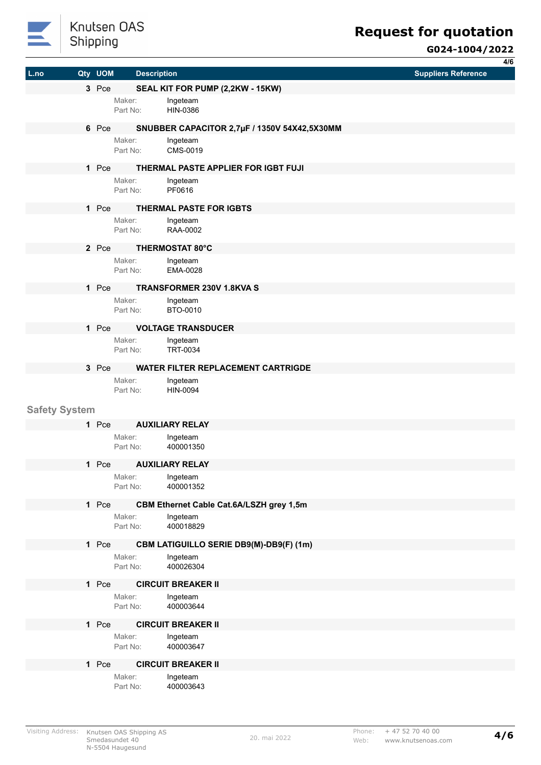

## **G024-1004/2022**

|                      |         |                    |                    |                                                       |                            | 4/6 |
|----------------------|---------|--------------------|--------------------|-------------------------------------------------------|----------------------------|-----|
| L.no                 | Qty UOM |                    | <b>Description</b> |                                                       | <b>Suppliers Reference</b> |     |
|                      | 3 Pce   |                    |                    | SEAL KIT FOR PUMP (2,2KW - 15KW)                      |                            |     |
|                      |         | Maker:             |                    | Ingeteam                                              |                            |     |
|                      |         | Part No:           |                    | HIN-0386                                              |                            |     |
|                      | 6 Pce   |                    |                    | SNUBBER CAPACITOR 2,7µF / 1350V 54X42,5X30MM          |                            |     |
|                      |         | Maker:<br>Part No: |                    | Ingeteam<br>CMS-0019                                  |                            |     |
|                      |         |                    |                    |                                                       |                            |     |
|                      | 1 Pce   |                    |                    | THERMAL PASTE APPLIER FOR IGBT FUJI                   |                            |     |
|                      |         | Maker:<br>Part No: |                    | Ingeteam<br>PF0616                                    |                            |     |
|                      | 1 Pce   |                    |                    | <b>THERMAL PASTE FOR IGBTS</b>                        |                            |     |
|                      |         | Maker:             |                    | Ingeteam                                              |                            |     |
|                      |         | Part No:           |                    | RAA-0002                                              |                            |     |
|                      | 2 Pce   |                    |                    | THERMOSTAT 80°C                                       |                            |     |
|                      |         | Maker:             |                    | Ingeteam                                              |                            |     |
|                      |         | Part No:           |                    | EMA-0028                                              |                            |     |
|                      | 1 Pce   |                    |                    | TRANSFORMER 230V 1.8KVA S                             |                            |     |
|                      |         | Maker:<br>Part No: |                    | Ingeteam<br>BTO-0010                                  |                            |     |
|                      |         |                    |                    |                                                       |                            |     |
|                      | 1 Pce   |                    |                    | <b>VOLTAGE TRANSDUCER</b>                             |                            |     |
|                      |         | Maker:<br>Part No: |                    | Ingeteam<br><b>TRT-0034</b>                           |                            |     |
|                      |         |                    |                    |                                                       |                            |     |
|                      | 3 Pce   | Maker:             |                    | <b>WATER FILTER REPLACEMENT CARTRIGDE</b><br>Ingeteam |                            |     |
|                      |         | Part No:           |                    | HIN-0094                                              |                            |     |
|                      |         |                    |                    |                                                       |                            |     |
| <b>Safety System</b> |         |                    |                    |                                                       |                            |     |
|                      | 1 Pce   | Maker:             |                    | <b>AUXILIARY RELAY</b><br>Ingeteam                    |                            |     |
|                      |         | Part No:           |                    | 400001350                                             |                            |     |
|                      | 1 Pce   |                    |                    | <b>AUXILIARY RELAY</b>                                |                            |     |
|                      |         | Maker:             |                    | Ingeteam                                              |                            |     |
|                      |         | Part No:           |                    | 400001352                                             |                            |     |
|                      | 1 Pce   |                    |                    | CBM Ethernet Cable Cat.6A/LSZH grey 1,5m              |                            |     |
|                      |         | Maker:             |                    | Ingeteam                                              |                            |     |
|                      |         | Part No:           |                    | 400018829                                             |                            |     |
|                      | 1 Pce   |                    |                    | CBM LATIGUILLO SERIE DB9(M)-DB9(F) (1m)               |                            |     |
|                      |         | Maker:<br>Part No: |                    | Ingeteam<br>400026304                                 |                            |     |
|                      |         |                    |                    |                                                       |                            |     |
|                      | 1 Pce   |                    |                    | <b>CIRCUIT BREAKER II</b>                             |                            |     |
|                      |         | Maker:<br>Part No: |                    | Ingeteam<br>400003644                                 |                            |     |
|                      |         |                    |                    |                                                       |                            |     |
|                      | 1 Pce   | Maker:             |                    | <b>CIRCUIT BREAKER II</b><br>Ingeteam                 |                            |     |
|                      |         | Part No:           |                    | 400003647                                             |                            |     |
|                      | 1 Pce   |                    |                    | <b>CIRCUIT BREAKER II</b>                             |                            |     |
|                      |         | Maker:             |                    | Ingeteam                                              |                            |     |
|                      |         | Part No:           |                    | 400003643                                             |                            |     |
|                      |         |                    |                    |                                                       |                            |     |
|                      |         |                    |                    |                                                       |                            |     |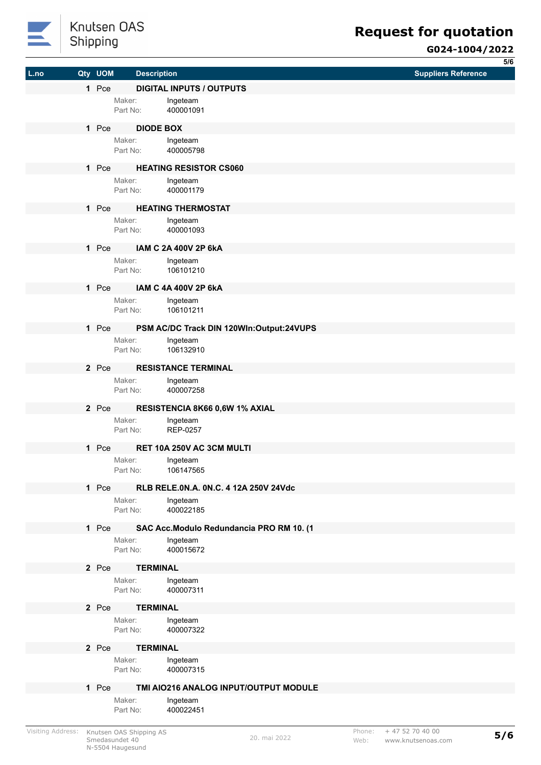

## Knutsen OAS Shipping

# **Request for quotation**

## **G024-1004/2022**

**5/6**

|      |         |                    |                                          |                            | 37 O |
|------|---------|--------------------|------------------------------------------|----------------------------|------|
| L.no | Qty UOM | <b>Description</b> |                                          | <b>Suppliers Reference</b> |      |
|      | 1 Pce   |                    | <b>DIGITAL INPUTS / OUTPUTS</b>          |                            |      |
|      |         | Maker:<br>Part No: | Ingeteam<br>400001091                    |                            |      |
|      |         |                    |                                          |                            |      |
|      | 1 Pce   | <b>DIODE BOX</b>   |                                          |                            |      |
|      |         | Maker:<br>Part No: | Ingeteam<br>400005798                    |                            |      |
|      | 1 Pce   |                    | <b>HEATING RESISTOR CS060</b>            |                            |      |
|      |         | Maker:<br>Part No: | Ingeteam<br>400001179                    |                            |      |
|      | 1 Pce   |                    | <b>HEATING THERMOSTAT</b>                |                            |      |
|      |         | Maker:             | Ingeteam                                 |                            |      |
|      |         | Part No:           | 400001093                                |                            |      |
|      | 1 Pce   |                    | IAM C 2A 400V 2P 6kA                     |                            |      |
|      |         | Maker:<br>Part No: | Ingeteam<br>106101210                    |                            |      |
|      | 1 Pce   |                    | <b>IAM C 4A 400V 2P 6kA</b>              |                            |      |
|      |         | Maker:             | Ingeteam                                 |                            |      |
|      |         | Part No:           | 106101211                                |                            |      |
|      | 1 Pce   |                    | PSM AC/DC Track DIN 120WIn:Output:24VUPS |                            |      |
|      |         | Maker:<br>Part No: | Ingeteam<br>106132910                    |                            |      |
|      | 2 Pce   |                    | <b>RESISTANCE TERMINAL</b>               |                            |      |
|      |         | Maker:             | Ingeteam                                 |                            |      |
|      |         | Part No:           | 400007258                                |                            |      |
|      | 2 Pce   |                    | RESISTENCIA 8K66 0,6W 1% AXIAL           |                            |      |
|      |         | Maker:<br>Part No: | Ingeteam<br><b>REP-0257</b>              |                            |      |
|      | 1 Pce   |                    | RET 10A 250V AC 3CM MULTI                |                            |      |
|      |         | Maker:             | Ingeteam                                 |                            |      |
|      |         | Part No:           | 106147565                                |                            |      |
|      | 1 Pce   |                    | RLB RELE.0N.A. 0N.C. 4 12A 250V 24Vdc    |                            |      |
|      |         | Maker:             | Ingeteam                                 |                            |      |
|      |         | Part No:           | 400022185                                |                            |      |
|      | 1 Pce   |                    | SAC Acc.Modulo Redundancia PRO RM 10. (1 |                            |      |
|      |         | Maker:             | Ingeteam                                 |                            |      |
|      |         | Part No:           | 400015672                                |                            |      |
|      | 2 Pce   | <b>TERMINAL</b>    |                                          |                            |      |
|      |         | Maker:             | Ingeteam                                 |                            |      |
|      |         | Part No:           | 400007311                                |                            |      |
|      | 2 Pce   | <b>TERMINAL</b>    |                                          |                            |      |
|      |         | Maker:             | Ingeteam                                 |                            |      |
|      |         | Part No:           | 400007322                                |                            |      |
|      | 2 Pce   | <b>TERMINAL</b>    |                                          |                            |      |
|      |         | Maker:             | Ingeteam                                 |                            |      |
|      |         | Part No:           | 400007315                                |                            |      |
|      | 1 Pce   |                    | TMI AIO216 ANALOG INPUT/OUTPUT MODULE    |                            |      |
|      |         | Maker:<br>Part No: | Ingeteam<br>400022451                    |                            |      |
|      |         |                    |                                          |                            |      |